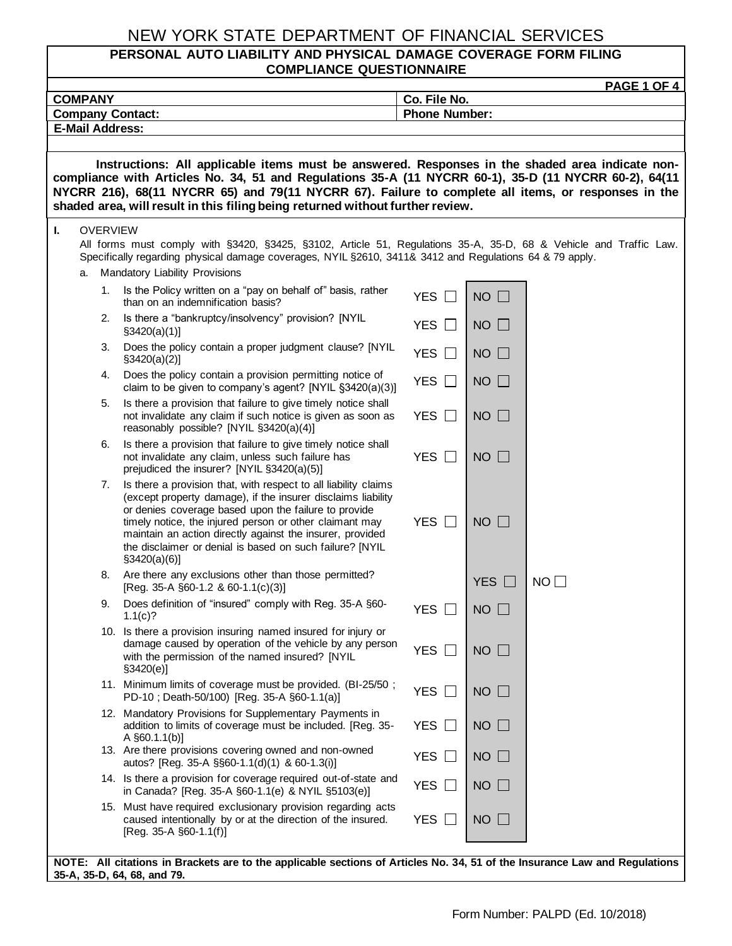#### **PERSONAL AUTO LIABILITY AND PHYSICAL DAMAGE COVERAGE FORM FILING COMPLIANCE QUESTIONNAIRE**

|                                                                                                                                                                                                                                                                                                |    |                                                                                                                                                                                                                                                 |                                                                                                                                                                                                                                                                                                                                                                                                 |                                           |              | <b>PAGE 1 OF 4</b> |  |  |  |
|------------------------------------------------------------------------------------------------------------------------------------------------------------------------------------------------------------------------------------------------------------------------------------------------|----|-------------------------------------------------------------------------------------------------------------------------------------------------------------------------------------------------------------------------------------------------|-------------------------------------------------------------------------------------------------------------------------------------------------------------------------------------------------------------------------------------------------------------------------------------------------------------------------------------------------------------------------------------------------|-------------------------------------------|--------------|--------------------|--|--|--|
| <b>COMPANY</b>                                                                                                                                                                                                                                                                                 |    |                                                                                                                                                                                                                                                 |                                                                                                                                                                                                                                                                                                                                                                                                 |                                           | Co. File No. |                    |  |  |  |
| <b>Phone Number:</b><br><b>Company Contact:</b><br><b>E-Mail Address:</b>                                                                                                                                                                                                                      |    |                                                                                                                                                                                                                                                 |                                                                                                                                                                                                                                                                                                                                                                                                 |                                           |              |                    |  |  |  |
|                                                                                                                                                                                                                                                                                                |    |                                                                                                                                                                                                                                                 |                                                                                                                                                                                                                                                                                                                                                                                                 |                                           |              |                    |  |  |  |
| Instructions: All applicable items must be answered. Responses in the shaded area indicate non-                                                                                                                                                                                                |    |                                                                                                                                                                                                                                                 |                                                                                                                                                                                                                                                                                                                                                                                                 |                                           |              |                    |  |  |  |
| compliance with Articles No. 34, 51 and Regulations 35-A (11 NYCRR 60-1), 35-D (11 NYCRR 60-2), 64(11<br>NYCRR 216), 68(11 NYCRR 65) and 79(11 NYCRR 67). Failure to complete all items, or responses in the<br>shaded area, will result in this filing being returned without further review. |    |                                                                                                                                                                                                                                                 |                                                                                                                                                                                                                                                                                                                                                                                                 |                                           |              |                    |  |  |  |
| ı.                                                                                                                                                                                                                                                                                             |    | <b>OVERVIEW</b><br>All forms must comply with §3420, §3425, §3102, Article 51, Regulations 35-A, 35-D, 68 & Vehicle and Traffic Law.<br>Specifically regarding physical damage coverages, NYIL §2610, 3411& 3412 and Regulations 64 & 79 apply. |                                                                                                                                                                                                                                                                                                                                                                                                 |                                           |              |                    |  |  |  |
|                                                                                                                                                                                                                                                                                                | a. |                                                                                                                                                                                                                                                 | Mandatory Liability Provisions<br>1. Is the Policy written on a "pay on behalf of" basis, rather<br>than on an indemnification basis?                                                                                                                                                                                                                                                           | YES $\Box$                                | $NO$ $\Box$  |                    |  |  |  |
|                                                                                                                                                                                                                                                                                                |    |                                                                                                                                                                                                                                                 | 2. Is there a "bankruptcy/insolvency" provision? [NYIL<br>§3420(a)(1)]                                                                                                                                                                                                                                                                                                                          | <b>YES</b><br>$\Box$                      | $NO$ $\Box$  |                    |  |  |  |
|                                                                                                                                                                                                                                                                                                |    | 3.                                                                                                                                                                                                                                              | Does the policy contain a proper judgment clause? [NYIL<br>$\S3420(a)(2)$                                                                                                                                                                                                                                                                                                                       | <b>YES</b><br>$\Box$                      | $NO$ $\Box$  |                    |  |  |  |
|                                                                                                                                                                                                                                                                                                |    | 4.                                                                                                                                                                                                                                              | Does the policy contain a provision permitting notice of<br>claim to be given to company's agent? [NYIL §3420(a)(3)]                                                                                                                                                                                                                                                                            | <b>YES</b><br>$\Box$                      | $NO$ $\Box$  |                    |  |  |  |
|                                                                                                                                                                                                                                                                                                |    | 5.                                                                                                                                                                                                                                              | Is there a provision that failure to give timely notice shall<br>not invalidate any claim if such notice is given as soon as<br>reasonably possible? [NYIL §3420(a)(4)]                                                                                                                                                                                                                         | YES $\Box$                                | $NO \Box$    |                    |  |  |  |
|                                                                                                                                                                                                                                                                                                |    | 6.                                                                                                                                                                                                                                              | Is there a provision that failure to give timely notice shall<br>not invalidate any claim, unless such failure has<br>prejudiced the insurer? [NYIL §3420(a)(5)]                                                                                                                                                                                                                                | YES $\Box$                                | $NO$ $\Box$  |                    |  |  |  |
|                                                                                                                                                                                                                                                                                                |    |                                                                                                                                                                                                                                                 | 7. Is there a provision that, with respect to all liability claims<br>(except property damage), if the insurer disclaims liability<br>or denies coverage based upon the failure to provide<br>timely notice, the injured person or other claimant may<br>maintain an action directly against the insurer, provided<br>the disclaimer or denial is based on such failure? [NYIL<br>\$3420(a)(6)] | YES $\Box$                                | $NO$ $\Box$  |                    |  |  |  |
|                                                                                                                                                                                                                                                                                                |    |                                                                                                                                                                                                                                                 | 8. Are there any exclusions other than those permitted?<br>[Reg. 35-A $\S$ 60-1.2 & 60-1.1(c)(3)]                                                                                                                                                                                                                                                                                               |                                           | YES $\Box$   | NO                 |  |  |  |
|                                                                                                                                                                                                                                                                                                |    | 9.                                                                                                                                                                                                                                              | Does definition of "insured" comply with Reg. 35-A §60-<br>1.1(c)?                                                                                                                                                                                                                                                                                                                              | YES $\square$                             | $NO$ $\Box$  |                    |  |  |  |
|                                                                                                                                                                                                                                                                                                |    |                                                                                                                                                                                                                                                 | 10. Is there a provision insuring named insured for injury or<br>damage caused by operation of the vehicle by any person<br>with the permission of the named insured? [NYIL<br>\$3420(e)]                                                                                                                                                                                                       | YES $\Box$                                | $NO$ $\Box$  |                    |  |  |  |
|                                                                                                                                                                                                                                                                                                |    |                                                                                                                                                                                                                                                 | 11. Minimum limits of coverage must be provided. (BI-25/50;<br>PD-10; Death-50/100) [Reg. 35-A §60-1.1(a)]                                                                                                                                                                                                                                                                                      | YES $\Box$                                | $NO$ $\Box$  |                    |  |  |  |
|                                                                                                                                                                                                                                                                                                |    |                                                                                                                                                                                                                                                 | 12. Mandatory Provisions for Supplementary Payments in<br>addition to limits of coverage must be included. [Reg. 35-<br>A $\S60.1.1(b)$ ]                                                                                                                                                                                                                                                       | <b>YES</b><br>$\perp$                     | $NO$ $\Box$  |                    |  |  |  |
|                                                                                                                                                                                                                                                                                                |    |                                                                                                                                                                                                                                                 | 13. Are there provisions covering owned and non-owned<br>autos? [Reg. 35-A §§60-1.1(d)(1) & 60-1.3(i)]                                                                                                                                                                                                                                                                                          | <b>YES</b><br>$\Box$                      | $NO$ $\Box$  |                    |  |  |  |
|                                                                                                                                                                                                                                                                                                |    |                                                                                                                                                                                                                                                 | 14. Is there a provision for coverage required out-of-state and<br>in Canada? [Reg. 35-A §60-1.1(e) & NYIL §5103(e)]                                                                                                                                                                                                                                                                            | <b>YES</b><br>$\mathcal{L}^{\mathcal{A}}$ | $NO$ $\Box$  |                    |  |  |  |
|                                                                                                                                                                                                                                                                                                |    |                                                                                                                                                                                                                                                 | 15. Must have required exclusionary provision regarding acts<br>caused intentionally by or at the direction of the insured.<br>$[Reg. 35-A §60-1.1(f)]$                                                                                                                                                                                                                                         | YES $\Box$                                | $NO$ $\Box$  |                    |  |  |  |
|                                                                                                                                                                                                                                                                                                |    |                                                                                                                                                                                                                                                 | NOTE: All citations in Brackets are to the applicable sections of Articles No. 34, 51 of the Insurance Law and Regulations                                                                                                                                                                                                                                                                      |                                           |              |                    |  |  |  |

**NOTE: All citations in Brackets are to the applicable sections of Articles No. 34, 51 of the Insurance Law and Regulations 35-A, 35-D, 64, 68, and 79.**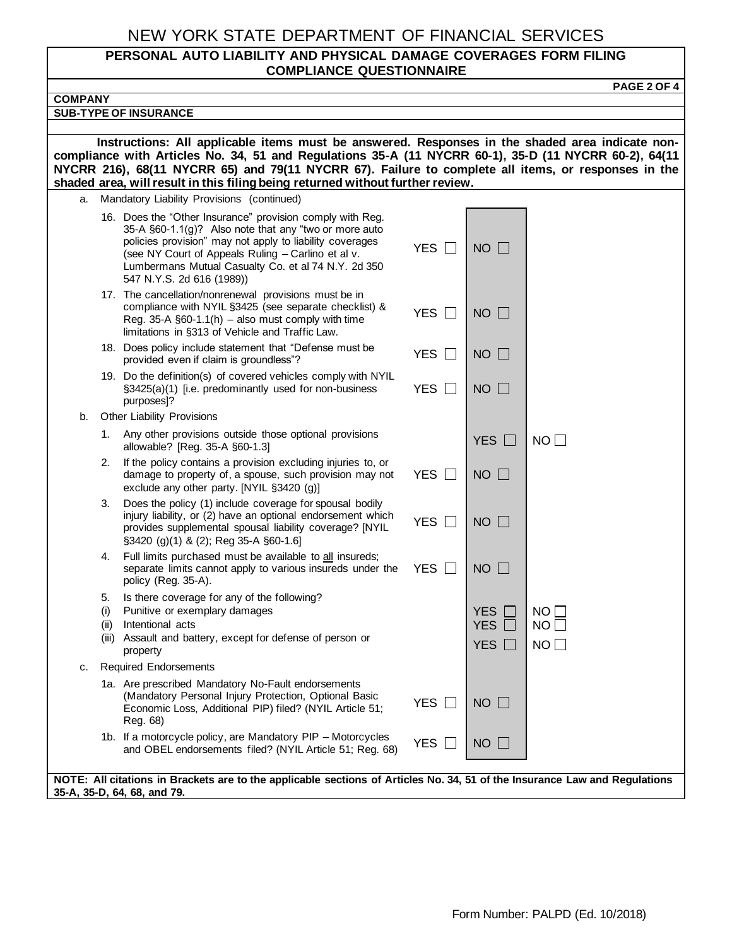#### **PERSONAL AUTO LIABILITY AND PHYSICAL DAMAGE COVERAGES FORM FILING COMPLIANCE QUESTIONNAIRE**

| <b>PAGE 2 OF 4</b>                                                                                                                                                                                                                                                                                                                                                                                |                            |                                        |                  |  |  |  |  |  |  |
|---------------------------------------------------------------------------------------------------------------------------------------------------------------------------------------------------------------------------------------------------------------------------------------------------------------------------------------------------------------------------------------------------|----------------------------|----------------------------------------|------------------|--|--|--|--|--|--|
| <b>COMPANY</b>                                                                                                                                                                                                                                                                                                                                                                                    |                            |                                        |                  |  |  |  |  |  |  |
| <b>SUB-TYPE OF INSURANCE</b>                                                                                                                                                                                                                                                                                                                                                                      |                            |                                        |                  |  |  |  |  |  |  |
| Instructions: All applicable items must be answered. Responses in the shaded area indicate non-<br>compliance with Articles No. 34, 51 and Regulations 35-A (11 NYCRR 60-1), 35-D (11 NYCRR 60-2), 64(11<br>NYCRR 216), 68(11 NYCRR 65) and 79(11 NYCRR 67). Failure to complete all items, or responses in the<br>shaded area, will result in this filing being returned without further review. |                            |                                        |                  |  |  |  |  |  |  |
| Mandatory Liability Provisions (continued)<br>a.                                                                                                                                                                                                                                                                                                                                                  |                            |                                        |                  |  |  |  |  |  |  |
| 16. Does the "Other Insurance" provision comply with Reg.<br>35-A §60-1.1(g)? Also note that any "two or more auto<br>policies provision" may not apply to liability coverages<br>(see NY Court of Appeals Ruling - Carlino et al v.<br>Lumbermans Mutual Casualty Co. et al 74 N.Y. 2d 350<br>547 N.Y.S. 2d 616 (1989))                                                                          | <b>YES</b><br>$\mathbf{1}$ | <b>NO</b><br>$\Box$                    |                  |  |  |  |  |  |  |
| 17. The cancellation/nonrenewal provisions must be in<br>compliance with NYIL §3425 (see separate checklist) &<br>Reg. 35-A $\S60-1.1(h)$ – also must comply with time<br>limitations in §313 of Vehicle and Traffic Law.                                                                                                                                                                         | <b>YES</b><br>$\perp$      | $NO$ $\Box$                            |                  |  |  |  |  |  |  |
| 18. Does policy include statement that "Defense must be<br>provided even if claim is groundless"?                                                                                                                                                                                                                                                                                                 | <b>YES</b><br>$\Box$       | <b>NO</b><br>$\Box$                    |                  |  |  |  |  |  |  |
| 19. Do the definition(s) of covered vehicles comply with NYIL<br>§3425(a)(1) [i.e. predominantly used for non-business<br>purposes]?                                                                                                                                                                                                                                                              | <b>YES</b><br>$\Box$       | $NO$ $\Box$                            |                  |  |  |  |  |  |  |
| Other Liability Provisions<br>b.                                                                                                                                                                                                                                                                                                                                                                  |                            |                                        |                  |  |  |  |  |  |  |
| 1. Any other provisions outside those optional provisions<br>allowable? [Reg. 35-A §60-1.3]                                                                                                                                                                                                                                                                                                       |                            | YES $\square$                          | NO               |  |  |  |  |  |  |
| If the policy contains a provision excluding injuries to, or<br>2.<br>damage to property of, a spouse, such provision may not<br>exclude any other party. [NYIL §3420 (g)]                                                                                                                                                                                                                        | YES $\Box$                 | $NO$ $\Box$                            |                  |  |  |  |  |  |  |
| Does the policy (1) include coverage for spousal bodily<br>З.<br>injury liability, or (2) have an optional endorsement which<br>provides supplemental spousal liability coverage? [NYIL<br>§3420 (g)(1) & (2); Reg 35-A §60-1.6]                                                                                                                                                                  | <b>YES</b><br>$\perp$      | $NO$ $\Box$                            |                  |  |  |  |  |  |  |
| Full limits purchased must be available to all insureds;<br>4.<br>separate limits cannot apply to various insureds under the<br>policy (Reg. 35-A).                                                                                                                                                                                                                                               | <b>YES</b><br>$\perp$      | <b>NO</b><br>$\mathbf{L}$              |                  |  |  |  |  |  |  |
| Is there coverage for any of the following?<br>5.<br>Punitive or exemplary damages<br>(i)<br>Intentional acts<br>(II)<br>(iii) Assault and battery, except for defense of person or<br>property                                                                                                                                                                                                   |                            | <b>YES</b><br><b>YES</b><br><b>YES</b> | NO I<br>NO<br>NO |  |  |  |  |  |  |
| <b>Required Endorsements</b><br>с.                                                                                                                                                                                                                                                                                                                                                                |                            |                                        |                  |  |  |  |  |  |  |
| 1a. Are prescribed Mandatory No-Fault endorsements<br>(Mandatory Personal Injury Protection, Optional Basic<br>Economic Loss, Additional PIP) filed? (NYIL Article 51;<br>Reg. 68)                                                                                                                                                                                                                | <b>YES</b><br>$\mathbf{L}$ | NO                                     |                  |  |  |  |  |  |  |
| 1b. If a motorcycle policy, are Mandatory PIP - Motorcycles<br>and OBEL endorsements filed? (NYIL Article 51; Reg. 68)                                                                                                                                                                                                                                                                            | YES $\square$              | $NO$ $\Box$                            |                  |  |  |  |  |  |  |
| NOTE: All citations in Brackets are to the applicable sections of Articles No. 34, 51 of the Insurance Law and Regulations<br>35-A, 35-D, 64, 68, and 79.                                                                                                                                                                                                                                         |                            |                                        |                  |  |  |  |  |  |  |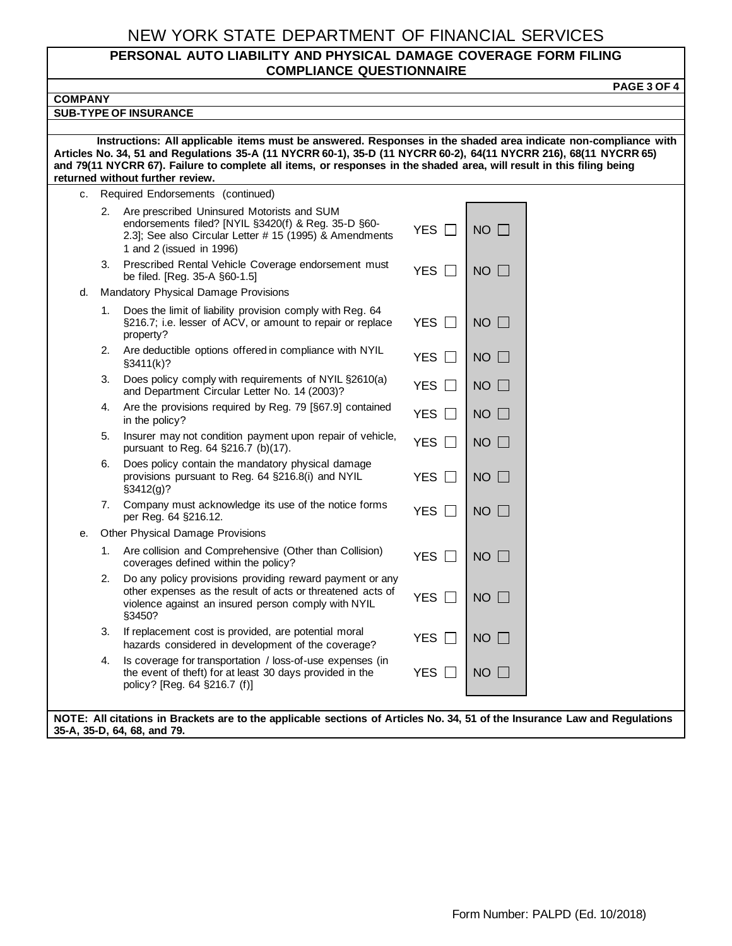#### **PERSONAL AUTO LIABILITY AND PHYSICAL DAMAGE COVERAGE FORM FILING COMPLIANCE QUESTIONNAIRE**

**PAGE 3 OF 4 COMPANY SUB-TYPE OF INSURANCE Instructions: All applicable items must be answered. Responses in the shaded area indicate non-compliance with Articles No. 34, 51 and Regulations 35-A (11 NYCRR 60-1), 35-D (11 NYCRR 60-2), 64(11 NYCRR 216), 68(11 NYCRR 65) and 79(11 NYCRR 67). Failure to complete all items, or responses in the shaded area, will result in this filing being returned without further review.** c. Required Endorsements (continued) 2. Are prescribed Uninsured Motorists and SUM endorsements filed? [NYIL §3420(f) & Reg. 35-D §60- 2.3]; See also Circular Letter # 15 (1995) & Amendments 1 and 2 (issued in 1996) YES  $\Box$  I no  $\Box$ 3. Prescribed Rental Vehicle Coverage endorsement must Prescribed Rental Venicle Coverage endorsement must<br>be filed. [Reg. 35-A  $\S 60-1.5$ ] d. Mandatory Physical Damage Provisions 1. Does the limit of liability provision comply with Reg. 64 §216.7; i.e. lesser of ACV, or amount to repair or replace property? YES  $\Box$  NO  $\Box$ 2. Are deductible options offered in compliance with NYIL  $YES \Box$  NO 3. Does policy comply with requirements of NYIL §2610(a) boes policy comply with requirements of NTTE  $\frac{32010(a)}{2003}$  YES  $\Box$  NO  $\Box$ 4. Are the provisions required by Reg. 79 [§67.9] contained  $YES \Box$  NO 5. Insurer may not condition payment upon repair of vehicle, pursuant to Reg. 64  $\S$ 216.7 (b)(17). 6. Does policy contain the mandatory physical damage provisions pursuant to Reg. 64 §216.8(i) and NYIL §3412(g)? YES  $\Box$  NO  $\Box$ 7. Company must acknowledge its use of the notice forms  $\frac{1}{2}$  Company must acknowledge its use of the notice forms  $\frac{1}{2}$  YES  $\Box$  NO  $\Box$ e. Other Physical Damage Provisions 1. Are collision and Comprehensive (Other than Collision)  $\overline{C}$  and  $\overline{C}$  countervalent within the policy? 2. Do any policy provisions providing reward payment or any other expenses as the result of acts or threatened acts of violence against an insured person comply with NYIL §3450? YES  $\Box$  NO  $\Box$ 3. If replacement cost is provided, are potential moral hazards considered in development of the coverage?  $YES \Box \setminus NO \Box$ 4. Is coverage for transportation / loss-of-use expenses (in the event of theft) for at least 30 days provided in the policy? [Reg. 64 §216.7 (f)] YES  $\Box$  NO  $\Box$ **NOTE: All citations in Brackets are to the applicable sections of Articles No. 34, 51 of the Insurance Law and Regulations 35-A, 35-D, 64, 68, and 79.**